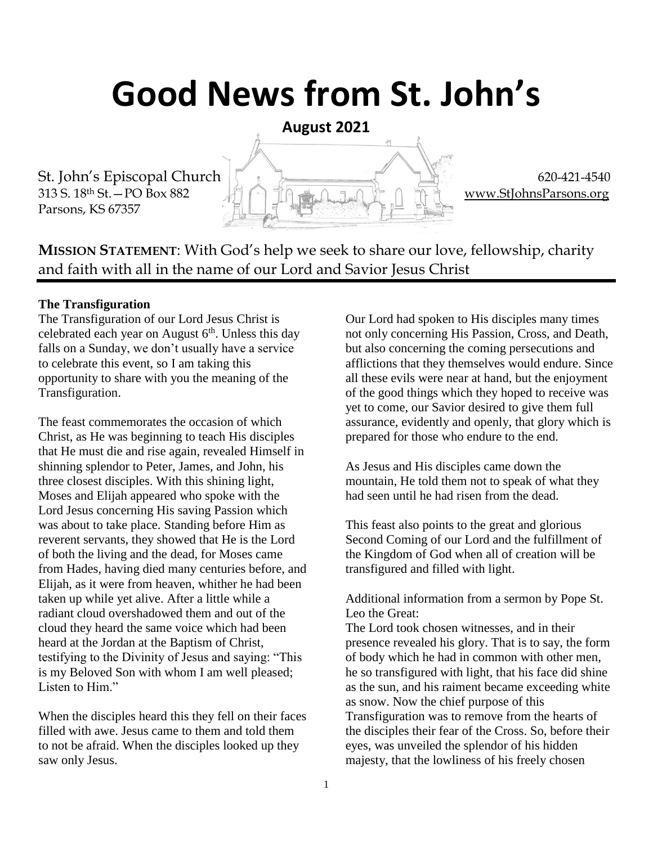# **Good News from St. John's**

**August 2021**

St. John's Episcopal Church  $\begin{bmatrix} 1 & 1 \end{bmatrix}$  620-421-4540 313 S. 18th St.—PO Box 882 [www.StJohnsParsons.org](http://www.stjohnsparsons.org/) Parsons, KS 67357

**MISSION STATEMENT**: With God's help we seek to share our love, fellowship, charity and faith with all in the name of our Lord and Savior Jesus Christ

#### **The Transfiguration**

The Transfiguration of our Lord Jesus Christ is celebrated each year on August  $6<sup>th</sup>$ . Unless this day falls on a Sunday, we don't usually have a service to celebrate this event, so I am taking this opportunity to share with you the meaning of the Transfiguration.

The feast commemorates the occasion of which Christ, as He was beginning to teach His disciples that He must die and rise again, revealed Himself in shinning splendor to Peter, James, and John, his three closest disciples. With this shining light, Moses and Elijah appeared who spoke with the Lord Jesus concerning His saving Passion which was about to take place. Standing before Him as reverent servants, they showed that He is the Lord of both the living and the dead, for Moses came from Hades, having died many centuries before, and Elijah, as it were from heaven, whither he had been taken up while yet alive. After a little while a radiant cloud overshadowed them and out of the cloud they heard the same voice which had been heard at the Jordan at the Baptism of Christ, testifying to the Divinity of Jesus and saying: "This is my Beloved Son with whom I am well pleased; Listen to Him."

When the disciples heard this they fell on their faces filled with awe. Jesus came to them and told them to not be afraid. When the disciples looked up they saw only Jesus.

Our Lord had spoken to His disciples many times not only concerning His Passion, Cross, and Death, but also concerning the coming persecutions and afflictions that they themselves would endure. Since all these evils were near at hand, but the enjoyment of the good things which they hoped to receive was yet to come, our Savior desired to give them full assurance, evidently and openly, that glory which is prepared for those who endure to the end.

As Jesus and His disciples came down the mountain, He told them not to speak of what they had seen until he had risen from the dead.

This feast also points to the great and glorious Second Coming of our Lord and the fulfillment of the Kingdom of God when all of creation will be transfigured and filled with light.

Additional information from a sermon by Pope St. Leo the Great:

The Lord took chosen witnesses, and in their presence revealed his glory. That is to say, the form of body which he had in common with other men, he so transfigured with light, that his face did shine as the sun, and his raiment became exceeding white as snow. Now the chief purpose of this Transfiguration was to remove from the hearts of the disciples their fear of the Cross. So, before their eyes, was unveiled the splendor of his hidden majesty, that the lowliness of his freely chosen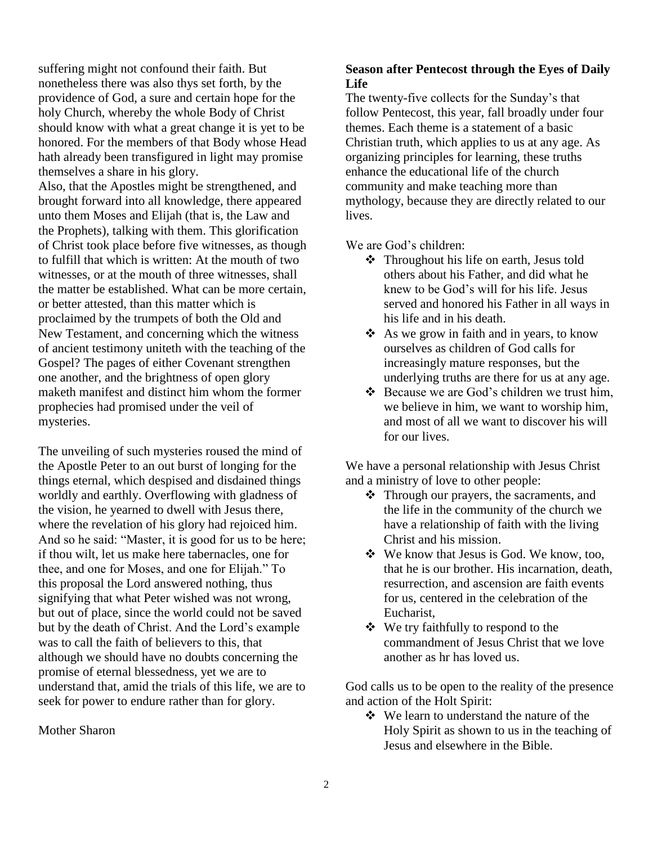suffering might not confound their faith. But nonetheless there was also thys set forth, by the providence of God, a sure and certain hope for the holy Church, whereby the whole Body of Christ should know with what a great change it is yet to be honored. For the members of that Body whose Head hath already been transfigured in light may promise themselves a share in his glory.

Also, that the Apostles might be strengthened, and brought forward into all knowledge, there appeared unto them Moses and Elijah (that is, the Law and the Prophets), talking with them. This glorification of Christ took place before five witnesses, as though to fulfill that which is written: At the mouth of two witnesses, or at the mouth of three witnesses, shall the matter be established. What can be more certain, or better attested, than this matter which is proclaimed by the trumpets of both the Old and New Testament, and concerning which the witness of ancient testimony uniteth with the teaching of the Gospel? The pages of either Covenant strengthen one another, and the brightness of open glory maketh manifest and distinct him whom the former prophecies had promised under the veil of mysteries.

The unveiling of such mysteries roused the mind of the Apostle Peter to an out burst of longing for the things eternal, which despised and disdained things worldly and earthly. Overflowing with gladness of the vision, he yearned to dwell with Jesus there, where the revelation of his glory had rejoiced him. And so he said: "Master, it is good for us to be here; if thou wilt, let us make here tabernacles, one for thee, and one for Moses, and one for Elijah." To this proposal the Lord answered nothing, thus signifying that what Peter wished was not wrong, but out of place, since the world could not be saved but by the death of Christ. And the Lord's example was to call the faith of believers to this, that although we should have no doubts concerning the promise of eternal blessedness, yet we are to understand that, amid the trials of this life, we are to seek for power to endure rather than for glory.

Mother Sharon

#### **Season after Pentecost through the Eyes of Daily Life**

The twenty-five collects for the Sunday's that follow Pentecost, this year, fall broadly under four themes. Each theme is a statement of a basic Christian truth, which applies to us at any age. As organizing principles for learning, these truths enhance the educational life of the church community and make teaching more than mythology, because they are directly related to our lives.

We are God's children:

- Throughout his life on earth, Jesus told others about his Father, and did what he knew to be God's will for his life. Jesus served and honored his Father in all ways in his life and in his death.
- $\triangle$  As we grow in faith and in years, to know ourselves as children of God calls for increasingly mature responses, but the underlying truths are there for us at any age.
- $\triangleleft$  Because we are God's children we trust him, we believe in him, we want to worship him, and most of all we want to discover his will for our lives.

We have a personal relationship with Jesus Christ and a ministry of love to other people:

- Through our prayers, the sacraments, and the life in the community of the church we have a relationship of faith with the living Christ and his mission.
- We know that Jesus is God. We know, too, that he is our brother. His incarnation, death, resurrection, and ascension are faith events for us, centered in the celebration of the Eucharist,
- We try faithfully to respond to the commandment of Jesus Christ that we love another as hr has loved us.

God calls us to be open to the reality of the presence and action of the Holt Spirit:

 We learn to understand the nature of the Holy Spirit as shown to us in the teaching of Jesus and elsewhere in the Bible.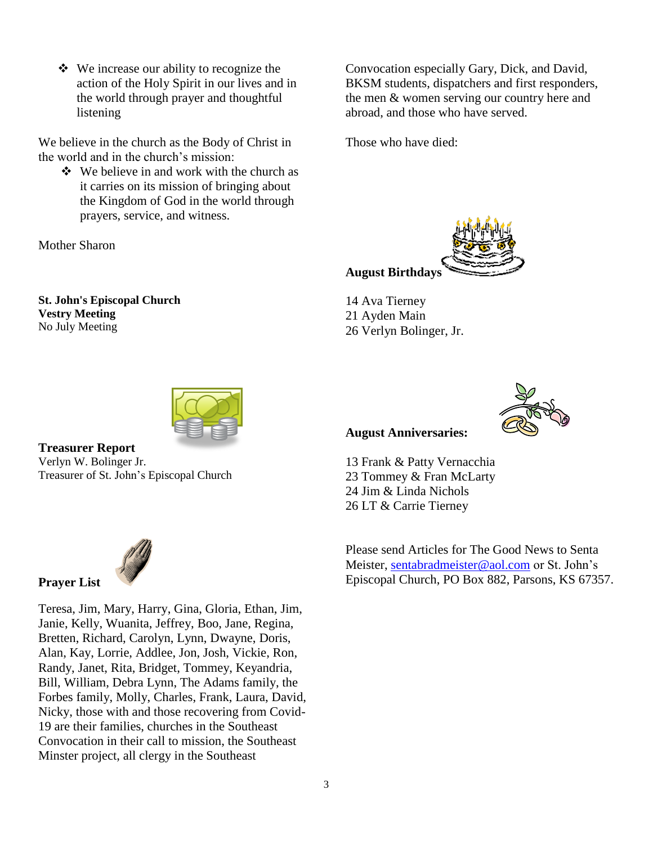We increase our ability to recognize the action of the Holy Spirit in our lives and in the world through prayer and thoughtful listening

We believe in the church as the Body of Christ in the world and in the church's mission:

 $\bullet\bullet\text{ We believe in and work with the church as }$ it carries on its mission of bringing about the Kingdom of God in the world through prayers, service, and witness.

Mother Sharon

**St. John's Episcopal Church Vestry Meeting** No July Meeting



Those who have died:



14 Ava Tierney 21 Ayden Main 26 Verlyn Bolinger, Jr.



**Treasurer Report** Verlyn W. Bolinger Jr. Treasurer of St. John's Episcopal Church



**Prayer List**

Teresa, Jim, Mary, Harry, Gina, Gloria, Ethan, Jim, Janie, Kelly, Wuanita, Jeffrey, Boo, Jane, Regina, Bretten, Richard, Carolyn, Lynn, Dwayne, Doris, Alan, Kay, Lorrie, Addlee, Jon, Josh, Vickie, Ron, Randy, Janet, Rita, Bridget, Tommey, Keyandria, Bill, William, Debra Lynn, The Adams family, the Forbes family, Molly, Charles, Frank, Laura, David, Nicky, those with and those recovering from Covid-19 are their families, churches in the Southeast Convocation in their call to mission, the Southeast Minster project, all clergy in the Southeast

#### **August Anniversaries:**



13 Frank & Patty Vernacchia 23 Tommey & Fran McLarty 24 Jim & Linda Nichols 26 LT & Carrie Tierney

Please send Articles for The Good News to Senta Meister, [sentabradmeister@aol.com](mailto:sentabradmeister@aol.com) or St. John's Episcopal Church, PO Box 882, Parsons, KS 67357.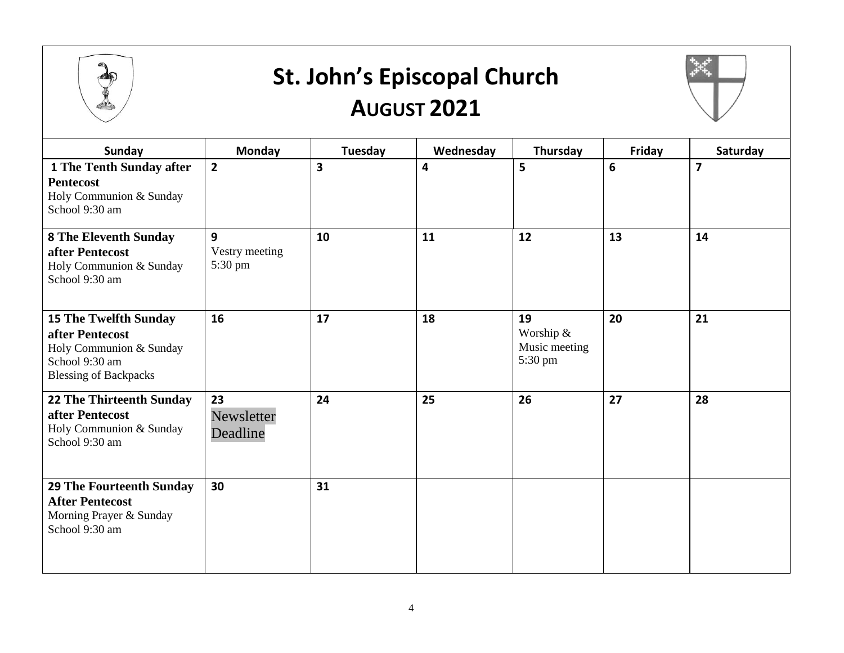

### **St. John's Episcopal Church AUGUST 2021**



| <b>Sunday</b>                                                                                                                | <b>Monday</b>                  | Tuesday | Wednesday | Thursday                                    | Friday | Saturday       |
|------------------------------------------------------------------------------------------------------------------------------|--------------------------------|---------|-----------|---------------------------------------------|--------|----------------|
| <b>1 The Tenth Sunday after</b><br><b>Pentecost</b><br>Holy Communion & Sunday<br>School 9:30 am                             | $\overline{2}$                 | 3       | 4         | 5                                           | 6      | $\overline{7}$ |
| <b>8 The Eleventh Sunday</b><br>after Pentecost<br>Holy Communion & Sunday<br>School 9:30 am                                 | 9<br>Vestry meeting<br>5:30 pm | 10      | 11        | 12                                          | 13     | 14             |
| <b>15 The Twelfth Sunday</b><br>after Pentecost<br>Holy Communion & Sunday<br>School 9:30 am<br><b>Blessing of Backpacks</b> | 16                             | 17      | 18        | 19<br>Worship &<br>Music meeting<br>5:30 pm | 20     | 21             |
| 22 The Thirteenth Sunday<br>after Pentecost<br>Holy Communion & Sunday<br>School 9:30 am                                     | 23<br>Newsletter<br>Deadline   | 24      | 25        | 26                                          | 27     | 28             |
| <b>29 The Fourteenth Sunday</b><br><b>After Pentecost</b><br>Morning Prayer & Sunday<br>School 9:30 am                       | 30                             | 31      |           |                                             |        |                |